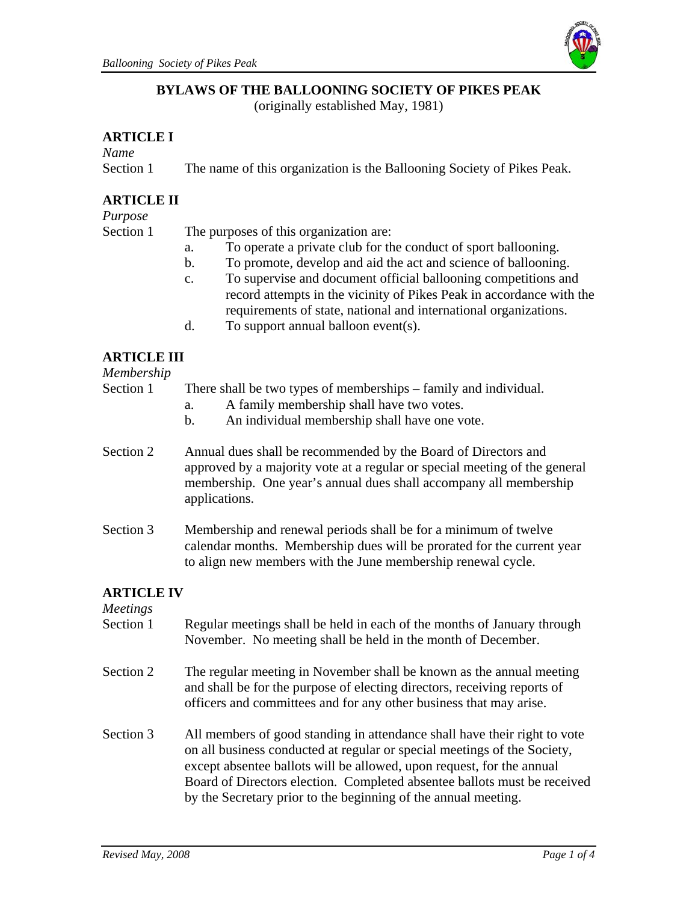

## **BYLAWS OF THE BALLOONING SOCIETY OF PIKES PEAK**

(originally established May, 1981)

#### **ARTICLE I**

*Name* 

Section 1 The name of this organization is the Ballooning Society of Pikes Peak.

# **ARTICLE II**

*Purpose*

Section 1 The purposes of this organization are:

- a. To operate a private club for the conduct of sport ballooning.
- b. To promote, develop and aid the act and science of ballooning.
- c. To supervise and document official ballooning competitions and record attempts in the vicinity of Pikes Peak in accordance with the requirements of state, national and international organizations.
- d. To support annual balloon event(s).

#### **ARTICLE III**

*Membership*

Section 1 There shall be two types of memberships – family and individual.

- a. A family membership shall have two votes.
- b. An individual membership shall have one vote.
- Section 2 Annual dues shall be recommended by the Board of Directors and approved by a majority vote at a regular or special meeting of the general membership. One year's annual dues shall accompany all membership applications.
- Section 3 Membership and renewal periods shall be for a minimum of twelve calendar months. Membership dues will be prorated for the current year to align new members with the June membership renewal cycle.

# **ARTICLE IV**

*Meetings*

- Section 1 Regular meetings shall be held in each of the months of January through November. No meeting shall be held in the month of December. Section 2 The regular meeting in November shall be known as the annual meeting and shall be for the purpose of electing directors, receiving reports of officers and committees and for any other business that may arise.
- Section 3 All members of good standing in attendance shall have their right to vote on all business conducted at regular or special meetings of the Society, except absentee ballots will be allowed, upon request, for the annual Board of Directors election. Completed absentee ballots must be received by the Secretary prior to the beginning of the annual meeting.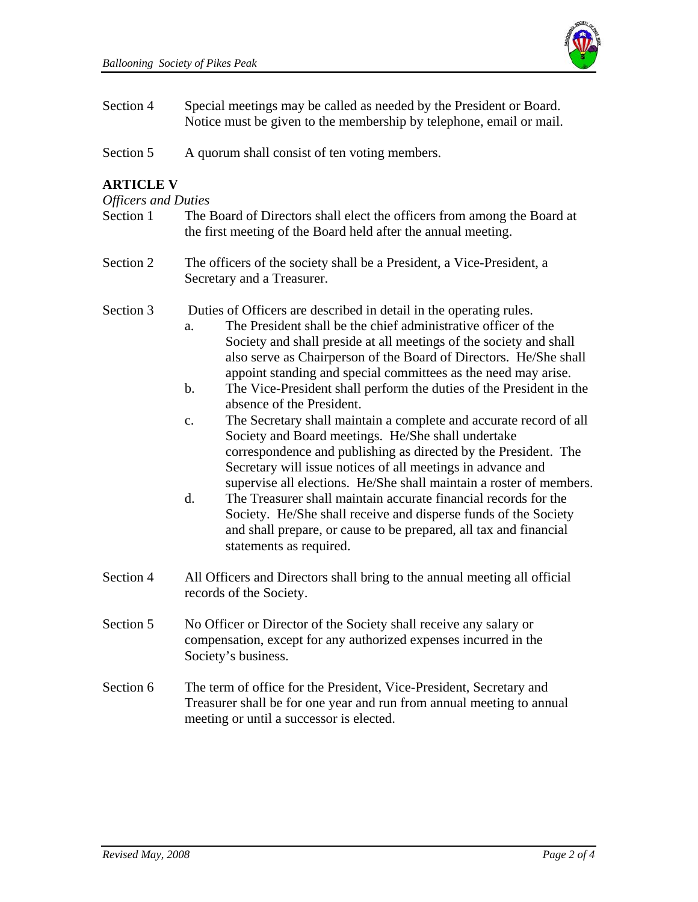

| Section 4 | Special meetings may be called as needed by the President or Board. |
|-----------|---------------------------------------------------------------------|
|           | Notice must be given to the membership by telephone, email or mail. |

Section 5 A quorum shall consist of ten voting members.

#### **ARTICLE V**

#### *Officers and Duties*

| Section 1 | The Board of Directors shall elect the officers from among the Board at |
|-----------|-------------------------------------------------------------------------|
|           | the first meeting of the Board held after the annual meeting.           |

Section 2 The officers of the society shall be a President, a Vice-President, a Secretary and a Treasurer.

Section 3 Duties of Officers are described in detail in the operating rules.

- a. The President shall be the chief administrative officer of the Society and shall preside at all meetings of the society and shall also serve as Chairperson of the Board of Directors. He/She shall appoint standing and special committees as the need may arise.
- b. The Vice-President shall perform the duties of the President in the absence of the President.
- c. The Secretary shall maintain a complete and accurate record of all Society and Board meetings. He/She shall undertake correspondence and publishing as directed by the President. The Secretary will issue notices of all meetings in advance and supervise all elections. He/She shall maintain a roster of members.
- d. The Treasurer shall maintain accurate financial records for the Society. He/She shall receive and disperse funds of the Society and shall prepare, or cause to be prepared, all tax and financial statements as required.
- Section 4 All Officers and Directors shall bring to the annual meeting all official records of the Society.
- Section 5 No Officer or Director of the Society shall receive any salary or compensation, except for any authorized expenses incurred in the Society's business.
- Section 6 The term of office for the President, Vice-President, Secretary and Treasurer shall be for one year and run from annual meeting to annual meeting or until a successor is elected.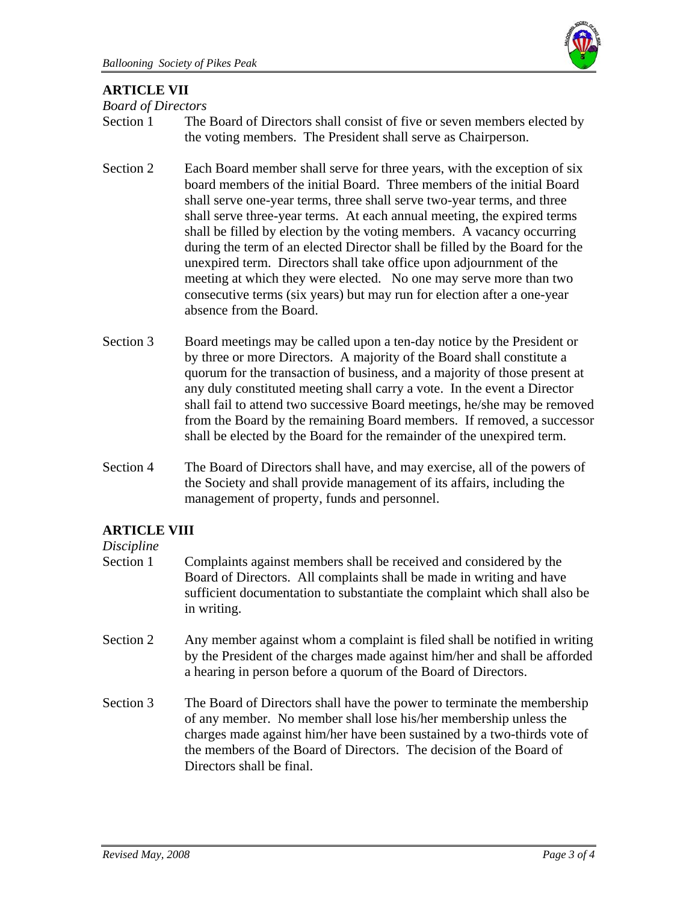

## **ARTICLE VII**

*Board of Directors* 

- Section 1 The Board of Directors shall consist of five or seven members elected by the voting members. The President shall serve as Chairperson.
- Section 2 Each Board member shall serve for three years, with the exception of six board members of the initial Board. Three members of the initial Board shall serve one-year terms, three shall serve two-year terms, and three shall serve three-year terms. At each annual meeting, the expired terms shall be filled by election by the voting members. A vacancy occurring during the term of an elected Director shall be filled by the Board for the unexpired term. Directors shall take office upon adjournment of the meeting at which they were elected. No one may serve more than two consecutive terms (six years) but may run for election after a one-year absence from the Board.
- Section 3 Board meetings may be called upon a ten-day notice by the President or by three or more Directors. A majority of the Board shall constitute a quorum for the transaction of business, and a majority of those present at any duly constituted meeting shall carry a vote. In the event a Director shall fail to attend two successive Board meetings, he/she may be removed from the Board by the remaining Board members. If removed, a successor shall be elected by the Board for the remainder of the unexpired term.
- Section 4 The Board of Directors shall have, and may exercise, all of the powers of the Society and shall provide management of its affairs, including the management of property, funds and personnel.

#### **ARTICLE VIII**

#### *Discipline*

- Section 1 Complaints against members shall be received and considered by the Board of Directors. All complaints shall be made in writing and have sufficient documentation to substantiate the complaint which shall also be in writing.
- Section 2 Any member against whom a complaint is filed shall be notified in writing by the President of the charges made against him/her and shall be afforded a hearing in person before a quorum of the Board of Directors.
- Section 3 The Board of Directors shall have the power to terminate the membership of any member. No member shall lose his/her membership unless the charges made against him/her have been sustained by a two-thirds vote of the members of the Board of Directors. The decision of the Board of Directors shall be final.